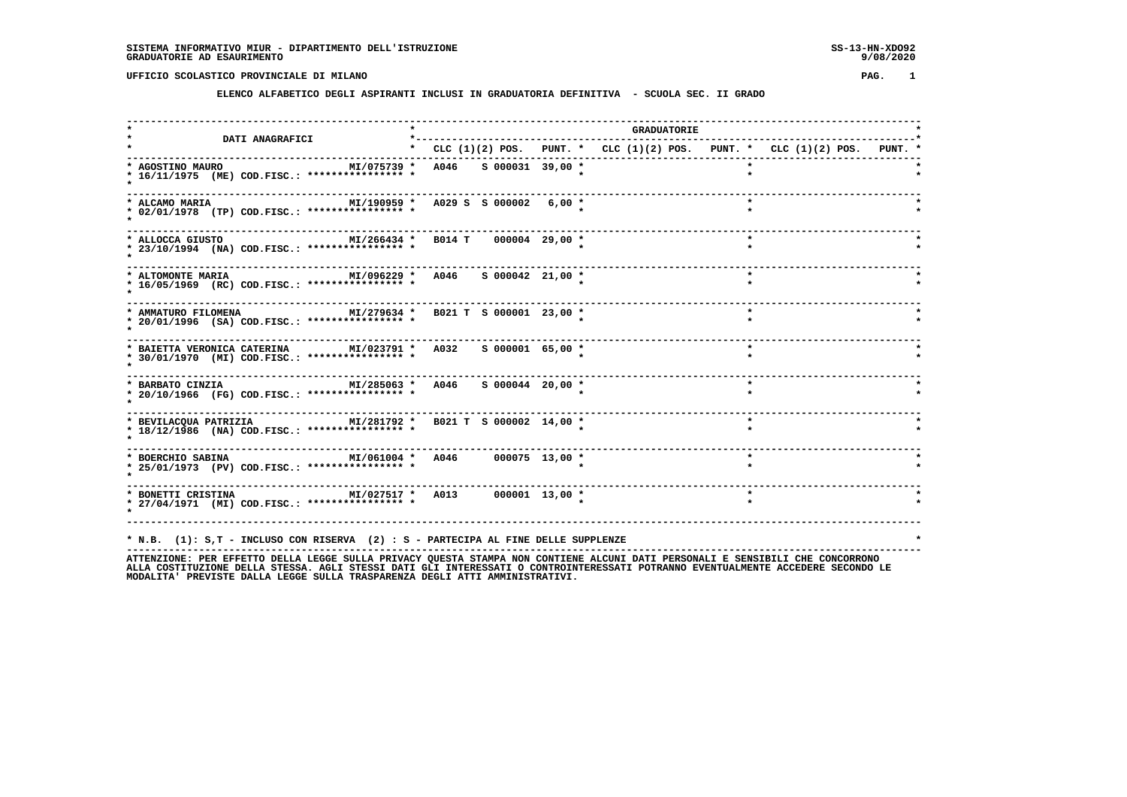#### **ELENCO ALFABETICO DEGLI ASPIRANTI INCLUSI IN GRADUATORIA DEFINITIVA - SCUOLA SEC. II GRADO**

 **------------------------------------------------------------------------------------------------------------------------------------ \* \* GRADUATORIE \* \* DATI ANAGRAFICI \*-----------------------------------------------------------------------------------\* \* \* CLC (1)(2) POS. PUNT. \* CLC (1)(2) POS. PUNT. \* CLC (1)(2) POS. PUNT. \* ------------------------------------------------------------------------------------------------------------------------------------ \* AGOSTINO MAURO MI/075739 \* A046 S 000031 39,00 \* \* \* \* 16/11/1975 (ME) COD.FISC.: \*\*\*\*\*\*\*\*\*\*\*\*\*\*\*\* \* \* \* \* \* ------------------------------------------------------------------------------------------------------------------------------------ \* ALCAMO MARIA MI/190959 \* A029 S S 000002 6,00 \* \* \* \* 02/01/1978 (TP) COD.FISC.: \*\*\*\*\*\*\*\*\*\*\*\*\*\*\*\* \* \* \* \* \* ------------------------------------------------------------------------------------------------------------------------------------ \* ALLOCCA GIUSTO MI/266434 \* B014 T 000004 29,00 \* \* \* \* 23/10/1994 (NA) COD.FISC.: \*\*\*\*\*\*\*\*\*\*\*\*\*\*\*\* \* \* \* \* \* ------------------------------------------------------------------------------------------------------------------------------------ \* ALTOMONTE MARIA MI/096229 \* A046 S 000042 21,00 \* \* \* \* 16/05/1969 (RC) COD.FISC.: \*\*\*\*\*\*\*\*\*\*\*\*\*\*\*\* \* \* \* \* \***--------------------- **------------------------------------------------------------------------------------------------------------------------------------**\* AMMATURO FILOMENA  $M1/279634$  \*  $B021$  T S 000001 23,00 \*  **\* 20/01/1996 (SA) COD.FISC.: \*\*\*\*\*\*\*\*\*\*\*\*\*\*\*\* \* \* \* \* \* ------------------------------------------------------------------------------------------------------------------------------------ \* BAIETTA VERONICA CATERINA MI/023791 \* A032 S 000001 65,00 \* \* \* \* 30/01/1970 (MI) COD.FISC.: \*\*\*\*\*\*\*\*\*\*\*\*\*\*\*\* \* \* \* \* \* ------------------------------------------------------------------------------------------------------------------------------------ \* BARBATO CINZIA MI/285063 \* A046 S 000044 20,00 \* \* \* \* 20/10/1966 (FG) COD.FISC.: \*\*\*\*\*\*\*\*\*\*\*\*\*\*\*\* \* \* \* \* \* ------------------------------------------------------------------------------------------------------------------------------------ \* BEVILACQUA PATRIZIA MI/281792 \* B021 T S 000002 14,00 \* \* \* \* 18/12/1986 (NA) COD.FISC.: \*\*\*\*\*\*\*\*\*\*\*\*\*\*\*\* \* \* \* \* \* ------------------------------------------------------------------------------------------------------------------------------------ \* BOERCHIO SABINA MI/061004 \* A046 000075 13,00 \* \* \* \* 25/01/1973 (PV) COD.FISC.: \*\*\*\*\*\*\*\*\*\*\*\*\*\*\*\* \* \* \* \* \* ------------------------------------------------------------------------------------------------------------------------------------ \* BONETTI CRISTINA MI/027517 \* A013 000001 13,00 \* \* \* \* 27/04/1971 (MI) COD.FISC.: \*\*\*\*\*\*\*\*\*\*\*\*\*\*\*\* \* \* \* \* \* ------------------------------------------------------------------------------------------------------------------------------------ \* N.B. (1): S,T - INCLUSO CON RISERVA (2) : S - PARTECIPA AL FINE DELLE SUPPLENZE \***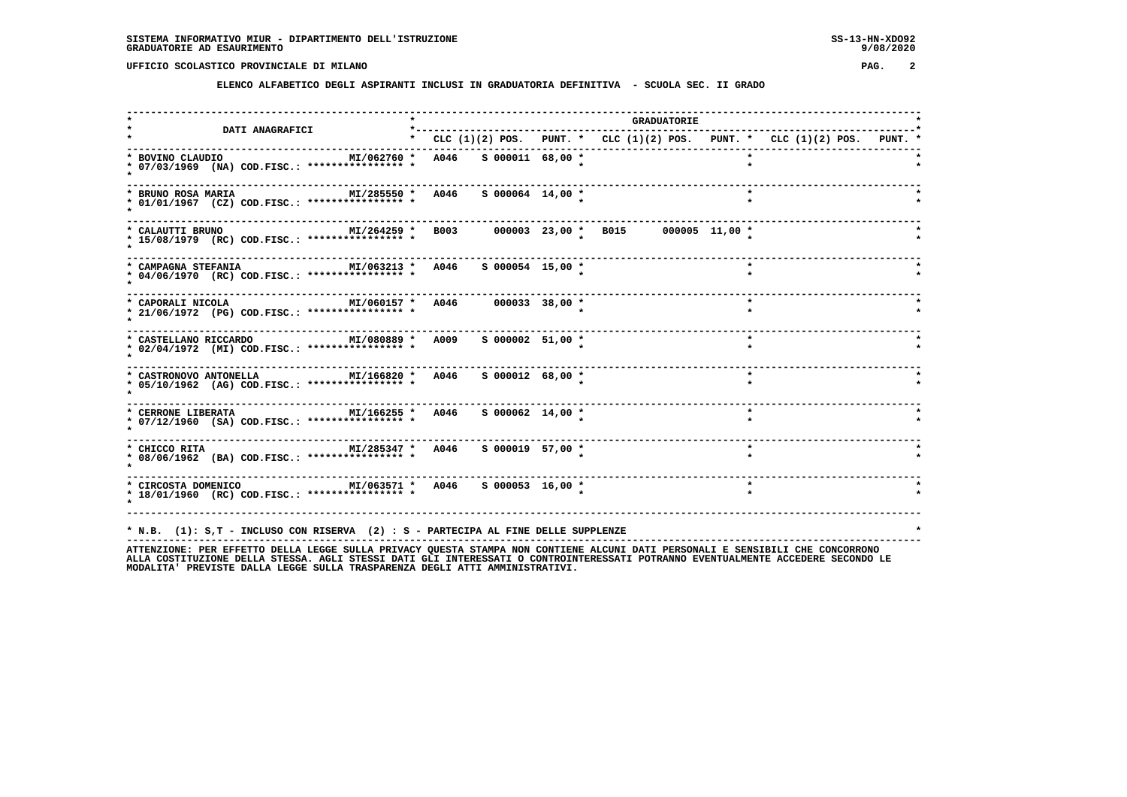**ELENCO ALFABETICO DEGLI ASPIRANTI INCLUSI IN GRADUATORIA DEFINITIVA - SCUOLA SEC. II GRADO**

| <b>DATI ANAGRAFICI</b>                                                                                        | *-----------                      |  | <b>GRADUATORIE</b>                                                            |
|---------------------------------------------------------------------------------------------------------------|-----------------------------------|--|-------------------------------------------------------------------------------|
|                                                                                                               |                                   |  | * CLC $(1)(2)$ POS. PUNT. * CLC $(1)(2)$ POS. PUNT. * CLC $(1)(2)$ POS. PUNT. |
| * BOVINO CLAUDIO<br>* 07/03/1969 (NA) COD.FISC.: **************** *                                           | MI/062760 * A046 S 000011 68,00 * |  |                                                                               |
| MI/285550 * A046<br>* BRUNO ROSA MARIA<br>* 01/01/1967 (CZ) COD.FISC.: **************** *                     | $S$ 000064 14,00 *                |  |                                                                               |
| * CALAUTTI BRUNO<br>* 15/08/1979 (RC) COD.FISC.: **************** *                                           |                                   |  |                                                                               |
| * CAMPAGNA STEFANIA<br>* 04/06/1970 (RC) COD.FISC.: **************** *                                        | MI/063213 * A046 S 000054 15,00 * |  |                                                                               |
| MI/060157 * A046 000033 38,00 *<br>* CAPORALI NICOLA<br>* 21/06/1972 (PG) COD.FISC.: **************** *       |                                   |  | $\star$                                                                       |
| MI/080889 * A009 S 000002 51,00 *<br>* CASTELLANO RICCARDO<br>* 02/04/1972 (MI) COD.FISC.: **************** * |                                   |  | $\star$                                                                       |
| * CASTRONOVO ANTONELLA MI/166820 * A046<br>* 05/10/1962 (AG) COD.FISC.: **************** *                    | S 000012 68,00 *                  |  | $\star$                                                                       |
| * 07/12/1960 (SA) COD.FISC.: **************** *                                                               |                                   |  | $\star$                                                                       |
| * CHICCO RITA $M1/285347$ * A046 \$ 000019 57,00 *<br>* 08/06/1962 (BA) COD.FISC.: **************** *         |                                   |  | $\star$                                                                       |
| MI/063571 * A046 S 000053 16,00 *<br>* CIRCOSTA DOMENICO<br>* 18/01/1960 (RC) COD.FISC.: **************** *   |                                   |  | $\star$                                                                       |
| * N.B. (1): S,T - INCLUSO CON RISERVA (2) : S - PARTECIPA AL FINE DELLE SUPPLENZE                             |                                   |  |                                                                               |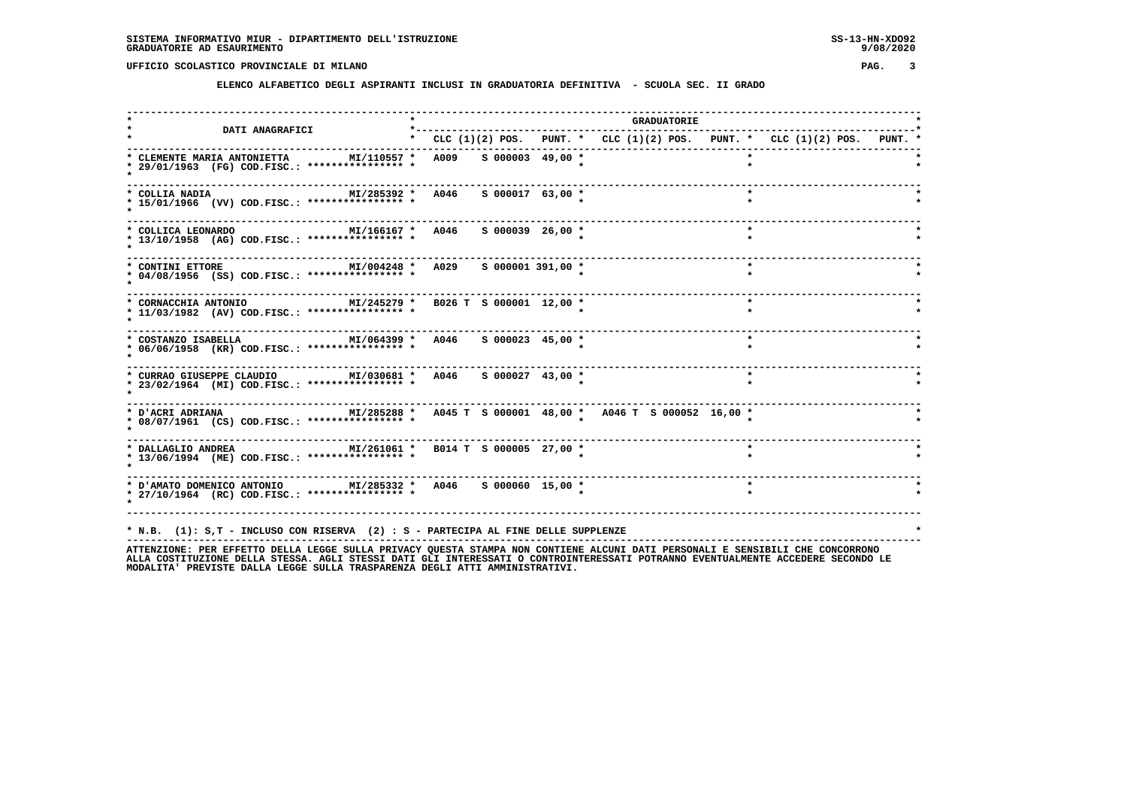**ELENCO ALFABETICO DEGLI ASPIRANTI INCLUSI IN GRADUATORIA DEFINITIVA - SCUOLA SEC. II GRADO**

| <b>DATI ANAGRAFICI</b>                                                                                                                                                                                            | *------------------------------------- |  | <b>GRADUATORIE</b>                                                        |         |  |
|-------------------------------------------------------------------------------------------------------------------------------------------------------------------------------------------------------------------|----------------------------------------|--|---------------------------------------------------------------------------|---------|--|
|                                                                                                                                                                                                                   |                                        |  | * CLC (1)(2) POS. PUNT. * CLC (1)(2) POS. PUNT. * CLC (1)(2) POS. PUNT. * |         |  |
| * CLEMENTE MARIA ANTONIETTA MI/110557 * A009 S 000003 49,00 *<br>* 29/01/1963 (FG) COD.FISC.: **************** *                                                                                                  |                                        |  |                                                                           |         |  |
| MI/285392 * A046 S 000017 63,00 *<br>* COLLIA NADIA<br>* 15/01/1966 (VV) COD.FISC.: **************** *                                                                                                            |                                        |  |                                                                           |         |  |
| MI/166167 * A046 S 000039 26,00 *<br>* COLLICA LEONARDO<br>* 13/10/1958 (AG) COD.FISC.: **************** *                                                                                                        |                                        |  |                                                                           | $\star$ |  |
| * CONTINI ETTORE<br>* 04/08/1956 (SS) COD.FISC.: **************** *                                                                                                                                               | MI/004248 * A029 S 000001 391,00 *     |  |                                                                           | $\star$ |  |
| * CORNACCHIA ANTONIO<br>* 11/03/1982 (AV) COD.FISC.: **************** *                                                                                                                                           | MI/245279 * B026 T S 000001 12,00 *    |  |                                                                           |         |  |
| * COSTANZO ISABELLA<br>* 06/06/1958 (KR) COD.FISC.: **************** *                                                                                                                                            | MI/064399 * A046 S 000023 45,00 *      |  |                                                                           | $\star$ |  |
| * CURRAO GIUSEPPE CLAUDIO MI/030681 * A046 S 000027 43,00 *<br>* 23/02/1964 (MI) COD.FISC.: **************** *                                                                                                    |                                        |  |                                                                           | $\star$ |  |
| * 08/07/1961 (CS) COD.FISC.: **************** *                                                                                                                                                                   |                                        |  |                                                                           |         |  |
| * 13/06/1994 (ME) COD.FISC.: **************** *                                                                                                                                                                   |                                        |  |                                                                           |         |  |
| .<br>* D'AMATO DOMENICO ANTONIO MI/285332 * A046 S 000060 15,00 *<br>* 27/10/1964 (RC) COD.FISC.: **************** *                                                                                              |                                        |  |                                                                           | $\star$ |  |
| * N.B. (1): S,T - INCLUSO CON RISERVA (2) : S - PARTECIPA AL FINE DELLE SUPPLENZE<br>ATTENTIONE. OF FEDERAL ARILLA LECCE CULLA DOTUACY OUFCRA CRANDA NON CONTIENT ALCUNI DATI DEDCONALI F CENCIDILI CUF CONCODONO |                                        |  |                                                                           |         |  |

ATTENZIONE: PER EFFETTO DELLA LEGGE SULLA PRIVACY QUESTA STAMPA NON CONTIENE ALCUNI DATI PERSONALI E SENSIBILI CHE CONCORRONO<br>ALLA COSTITUZIONE DELLA STESSA, AGLI STESSI DATI GLI INTERESSATI O CONTROINTERESSATI POTRANNO EV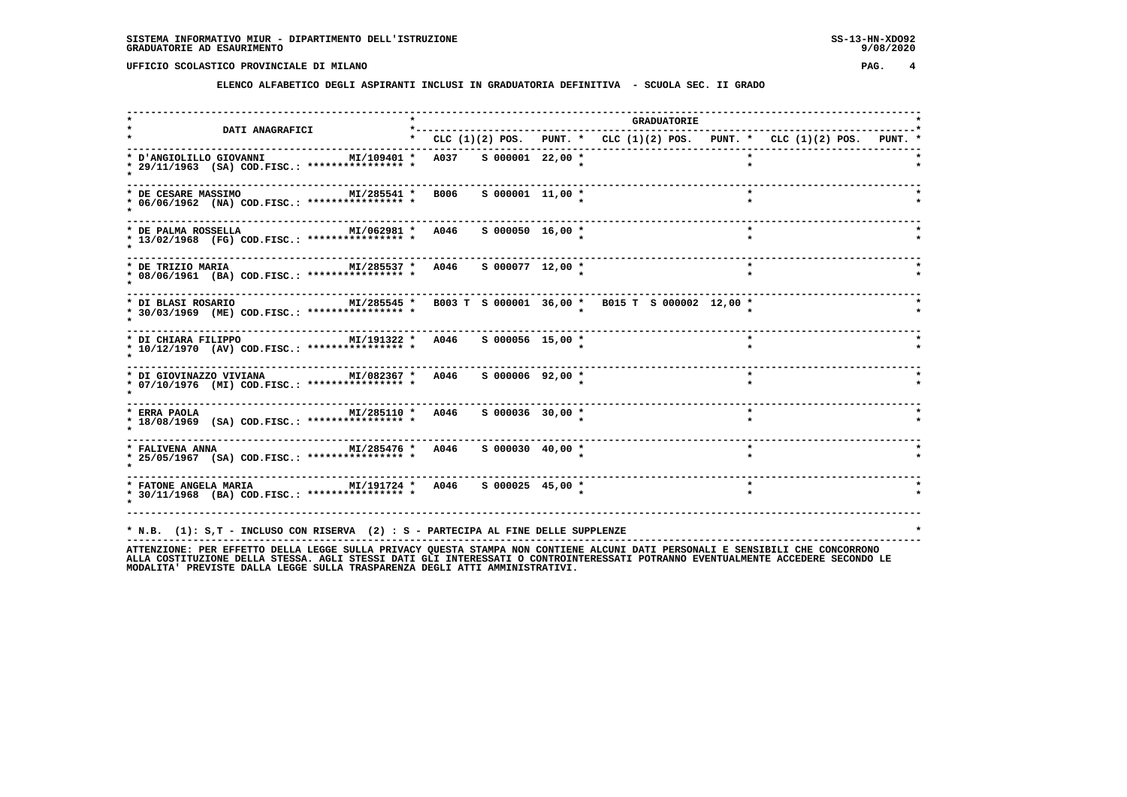**ELENCO ALFABETICO DEGLI ASPIRANTI INCLUSI IN GRADUATORIA DEFINITIVA - SCUOLA SEC. II GRADO**

| <b>DATI ANAGRAFICI</b>                                                                                                                  |  |                    |                                                                           | <b>GRADUATORIE</b> |         |  |  |
|-----------------------------------------------------------------------------------------------------------------------------------------|--|--------------------|---------------------------------------------------------------------------|--------------------|---------|--|--|
|                                                                                                                                         |  |                    | * CLC (1)(2) POS. PUNT. * CLC (1)(2) POS. PUNT. * CLC (1)(2) POS. PUNT. * |                    |         |  |  |
| MI/109401 * A037 S 000001 22,00 *<br>* D'ANGIOLILLO GIOVANNI<br>* 29/11/1963 (SA) COD.FISC.: **************** *                         |  |                    |                                                                           |                    |         |  |  |
| MI/285541 * B006<br>* DE CESARE MASSIMO<br>* 06/06/1962 (NA) COD.FISC.: **************** *                                              |  | $S$ 000001 11,00 * |                                                                           |                    |         |  |  |
| MI/062981 * A046 S 000050 16,00 *<br>* DE PALMA ROSSELLA<br>* 13/02/1968 (FG) COD.FISC.: **************** *                             |  |                    |                                                                           |                    | $\star$ |  |  |
| MI/285537 * A046 S 000077 12,00 *<br>* DE TRIZIO MARIA<br>* 08/06/1961 (BA) COD.FISC.: **************** *                               |  |                    |                                                                           |                    | $\star$ |  |  |
| -----------------------------<br>* DI BLASI ROSARIO<br>* 30/03/1969 (ME) COD.FISC.: **************** *                                  |  |                    | MI/285545 * B003 T S 000001 36,00 * B015 T S 000002 12,00 *               |                    |         |  |  |
| MI/191322 * A046 S 000056 15,00 *<br>* DI CHIARA FILIPPO<br>* 10/12/1970 (AV) COD.FISC.: **************** *                             |  |                    |                                                                           |                    | $\star$ |  |  |
| * DI GIOVINAZZO VIVIANA $M1/082367$ * A046 \$ 000006 92,00 *<br>* 07/10/1976 (MI) COD.FISC.: **************** *                         |  |                    |                                                                           |                    | $\star$ |  |  |
| * ERRA PAOLA                               MI/285110 *   A046     5 000036   30,00 *<br>* 18/08/1969 (SA) COD.FISC.: **************** * |  |                    |                                                                           |                    | $\star$ |  |  |
| * FALIVENA ANNA                         MI/285476 *   A046     S 000030   40,00 *<br>* 25/05/1967 (SA) COD.FISC.: **************** *    |  |                    |                                                                           |                    | $\star$ |  |  |
| * 30/11/1968 (BA) COD.FISC.: **************** *                                                                                         |  |                    |                                                                           |                    | $\star$ |  |  |
|                                                                                                                                         |  |                    |                                                                           |                    |         |  |  |
| * N.B. (1): S,T - INCLUSO CON RISERVA (2) : S - PARTECIPA AL FINE DELLE SUPPLENZE                                                       |  |                    |                                                                           |                    |         |  |  |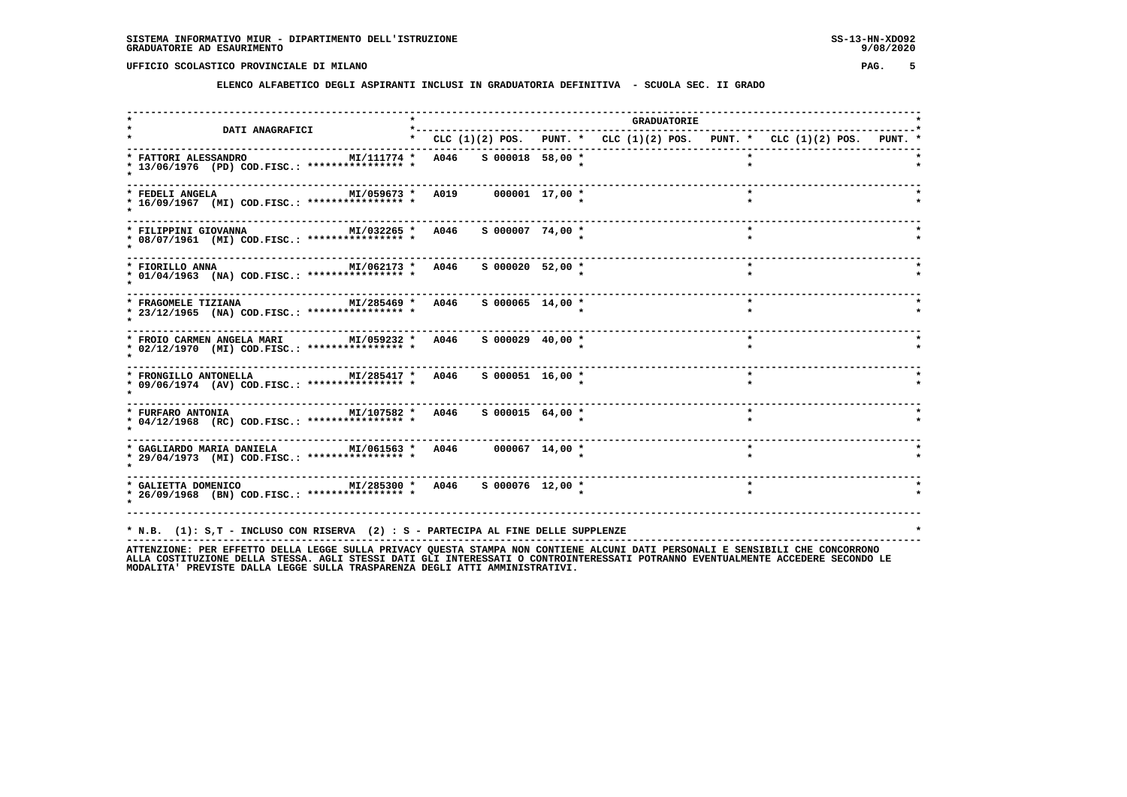**ELENCO ALFABETICO DEGLI ASPIRANTI INCLUSI IN GRADUATORIA DEFINITIVA - SCUOLA SEC. II GRADO**

| DATI ANAGRAFICI                                                                                                           |                                   |  | <b>GRADUATORIE</b> |         |                                                                           |  |
|---------------------------------------------------------------------------------------------------------------------------|-----------------------------------|--|--------------------|---------|---------------------------------------------------------------------------|--|
|                                                                                                                           |                                   |  |                    |         | * CLC (1)(2) POS. PUNT. * CLC (1)(2) POS. PUNT. * CLC (1)(2) POS. PUNT. * |  |
| * FATTORI ALESSANDRO<br>* 13/06/1976 (PD) COD.FISC.: **************** *                                                   | MI/111774 * A046 S 000018 58,00 * |  |                    |         |                                                                           |  |
| MI/059673 * A019 000001 17,00 *<br>* FEDELI ANGELA<br>* 16/09/1967 (MI) COD.FISC.: **************** *                     |                                   |  |                    | $\star$ |                                                                           |  |
| * FILIPPINI GIOVANNA<br>* 08/07/1961 (MI) COD.FISC.: *************** *                                                    | MI/032265 * A046 S 000007 74,00 * |  |                    | $\star$ |                                                                           |  |
| MI/062173 * A046<br>* FIORILLO ANNA<br>* 01/04/1963 (NA) COD.FISC.: **************** *                                    | S 000020 52,00 *                  |  |                    | $\star$ |                                                                           |  |
| ---------------------------<br>MI/285469 * A046<br>* FRAGOMELE TIZIANA<br>* 23/12/1965 (NA) COD.FISC.: **************** * | $S$ 000065 14,00 $*$              |  |                    | $\star$ |                                                                           |  |
| * FROIO CARMEN ANGELA MARI MI/059232 * A046 S 000029 40,00 *<br>* 02/12/1970 (MI) COD.FISC.: **************** *           |                                   |  |                    | $\star$ |                                                                           |  |
| * FRONGILLO ANTONELLA $M1/285417$ * A046 S 000051 16,00 *<br>* 09/06/1974 (AV) COD.FISC.: **************** *              |                                   |  |                    | $\star$ |                                                                           |  |
| * 04/12/1968 (RC) COD.FISC.: **************** *                                                                           |                                   |  |                    | $\star$ |                                                                           |  |
| .<br>* GAGLIARDO MARIA DANIELA MI/061563 * A046 000067 14,00 *<br>* 29/04/1973 (MI) COD.FISC.: **************** *         |                                   |  |                    | $\star$ |                                                                           |  |
| * 26/09/1968 (BN) COD.FISC.: **************** *                                                                           |                                   |  |                    | $\star$ |                                                                           |  |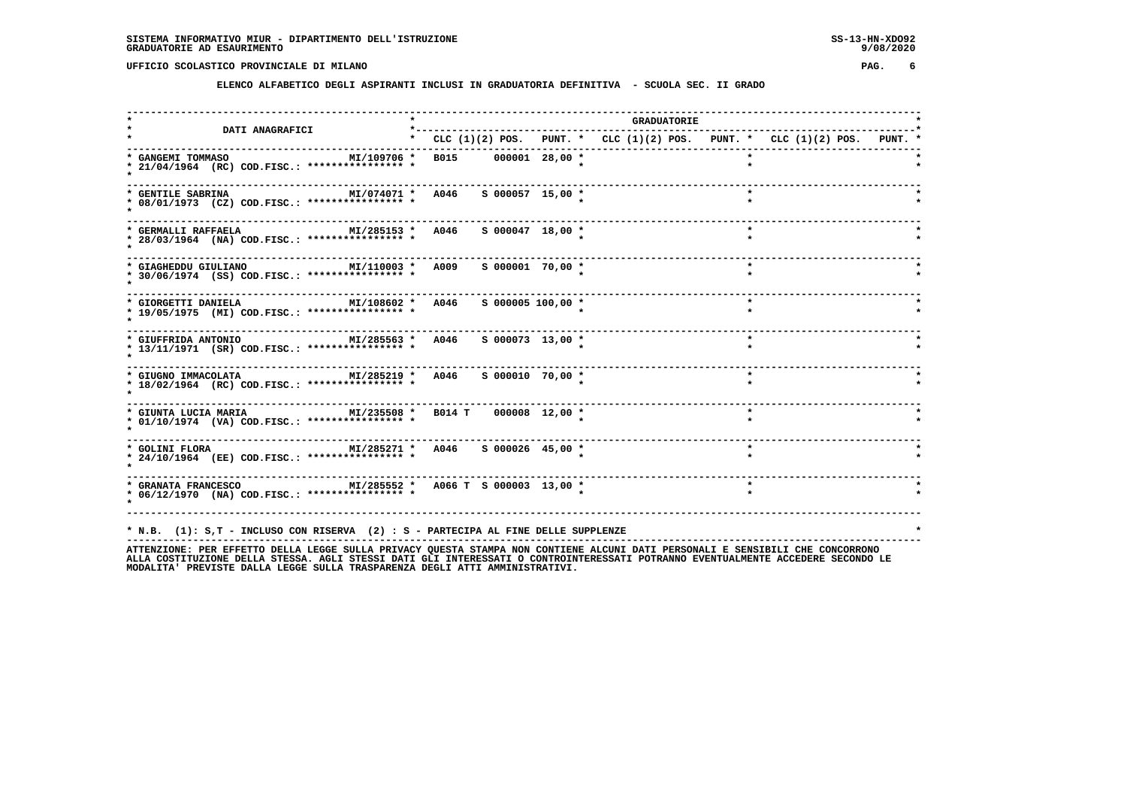**ELENCO ALFABETICO DEGLI ASPIRANTI INCLUSI IN GRADUATORIA DEFINITIVA - SCUOLA SEC. II GRADO**

| <b>DATI ANAGRAFICI</b>                                                                                              |                                                                               |  |  | <b>GRADUATORIE</b> |         |  |  |  |
|---------------------------------------------------------------------------------------------------------------------|-------------------------------------------------------------------------------|--|--|--------------------|---------|--|--|--|
|                                                                                                                     | * CLC $(1)(2)$ POS. PUNT. * CLC $(1)(2)$ POS. PUNT. * CLC $(1)(2)$ POS. PUNT. |  |  |                    |         |  |  |  |
| * GANGEMI TOMMASO<br>* 21/04/1964 (RC) COD.FISC.: **************** *                                                | MI/109706 * B015 000001 28,00 *                                               |  |  |                    |         |  |  |  |
| MI/074071 * A046 S 000057 15,00 *<br>* GENTILE SABRINA<br>* 08/01/1973 (CZ) COD.FISC.: **************** *           |                                                                               |  |  |                    | $\star$ |  |  |  |
| MI/285153 * A046 S 000047 18,00 *<br>* GERMALLI RAFFAELA<br>* 28/03/1964 (NA) COD.FISC.: **************** *         |                                                                               |  |  |                    | $\star$ |  |  |  |
| MI/110003 * A009<br>* GIAGHEDDU GIULIANO<br>* 30/06/1974 (SS) COD.FISC.: **************** *                         | S 000001 70,00 *                                                              |  |  |                    | $\star$ |  |  |  |
| MI/108602 * A046<br>* GIORGETTI DANIELA<br>* 19/05/1975 (MI) COD.FISC.: **************** *                          | $S$ 000005 100,00 $*$                                                         |  |  |                    | $\star$ |  |  |  |
| MI/285563 * A046<br>* GIUFFRIDA ANTONIO<br>* 13/11/1971 (SR) COD.FISC.: **************** *                          | S 000073 13,00 *                                                              |  |  |                    | $\star$ |  |  |  |
| $MI/285219 * A046$ S 000010 70,00 *<br>* GIUGNO IMMACOLATA<br>* 18/02/1964 (RC) COD.FISC.: **************** *       |                                                                               |  |  |                    | $\star$ |  |  |  |
| MI/235508 * B014 T 000008 12,00 *<br>* GIUNTA LUCIA MARIA<br>* 01/10/1974 (VA) COD.FISC.: **************** *        |                                                                               |  |  |                    | $\star$ |  |  |  |
| * 24/10/1964 (EE) COD.FISC.: **************** *                                                                     |                                                                               |  |  |                    | $\star$ |  |  |  |
| * GRANATA FRANCESCO METALL MITS 285552 * A066 T S 000003 13,00 *<br>* 06/12/1970 (NA) COD.FISC.: **************** * |                                                                               |  |  |                    | $\star$ |  |  |  |
| * N.B. (1): S,T - INCLUSO CON RISERVA (2) : S - PARTECIPA AL FINE DELLE SUPPLENZE                                   |                                                                               |  |  |                    |         |  |  |  |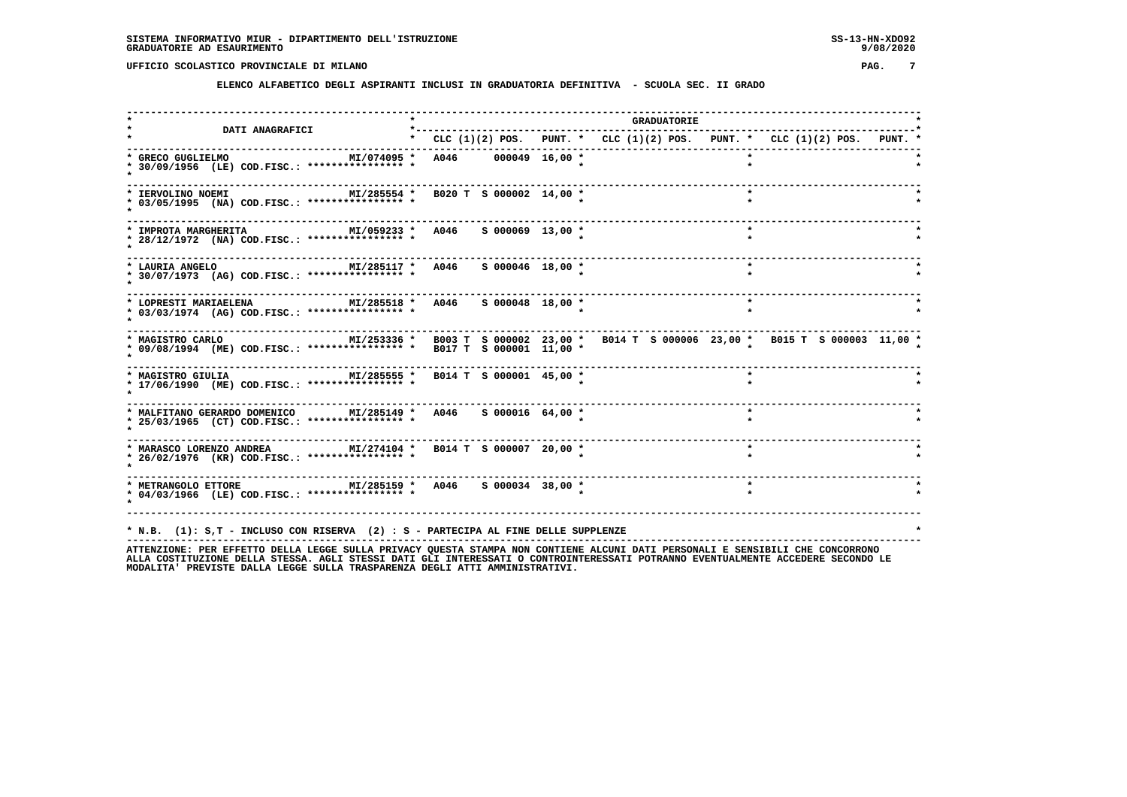**ELENCO ALFABETICO DEGLI ASPIRANTI INCLUSI IN GRADUATORIA DEFINITIVA - SCUOLA SEC. II GRADO**

| DATI ANAGRAFICI                                                                                                                            | *---------                                                                |  | <b>GRADUATORIE</b> |         |         |  |  |
|--------------------------------------------------------------------------------------------------------------------------------------------|---------------------------------------------------------------------------|--|--------------------|---------|---------|--|--|
|                                                                                                                                            | * CLC (1)(2) POS. PUNT. * CLC (1)(2) POS. PUNT. * CLC (1)(2) POS. PUNT. * |  |                    |         |         |  |  |
| * GRECO GUGLIELMO<br>* 30/09/1956 (LE) COD.FISC.: **************** *                                                                       | MI/074095 * A046 000049 16,00 *                                           |  |                    |         |         |  |  |
| * IERVOLINO NOEMI<br>* 03/05/1995 (NA) COD.FISC.: **************** *                                                                       | MI/285554 * B020 T S 000002 14,00 *                                       |  |                    | $\star$ |         |  |  |
| * IMPROTA MARGHERITA<br>* 28/12/1972 (NA) COD.FISC.: **************** *                                                                    | MI/059233 * A046 S 000069 13,00 *                                         |  |                    |         | $\star$ |  |  |
| MI/285117 * A046<br>* LAURIA ANGELO<br>* 30/07/1973 (AG) COD.FISC.: *************** *                                                      | S 000046 18,00 *                                                          |  |                    |         | $\star$ |  |  |
| MI/285518 * A046 S 000048 18,00 *<br>* LOPRESTI MARIAELENA<br>* 03/03/1974 (AG) COD.FISC.: **************** *                              |                                                                           |  |                    |         | $\star$ |  |  |
| * MAGISTRO CARLO<br>* 09/08/1994 (ME) COD.FISC.: *************** * B017 T S 000001 11,00 * B014 T S 000006 23,00 * B015 T S 000003 11,00 * |                                                                           |  |                    |         |         |  |  |
| MI/285555 * B014 T S 000001 45,00 *<br>* MAGISTRO GIULIA<br>* 17/06/1990 (ME) COD.FISC.: **************** *                                |                                                                           |  |                    |         |         |  |  |
| * MALFITANO GERARDO DOMENICO MI/285149 * A046 S 000016 64,00 *<br>* 25/03/1965 (CT) COD.FISC.: **************** *                          |                                                                           |  |                    |         | $\star$ |  |  |
| * MARASCO LORENZO ANDREA MI/274104 * B014 T S 000007 20,00 *<br>* 26/02/1976 (KR) COD.FISC.: **************** *                            |                                                                           |  |                    |         | $\star$ |  |  |
| * METRANGOLO ETTORE MI/285159 * A046 S 000034 38,00 *<br>* 04/03/1966 (LE) COD.FISC.: **************** *                                   |                                                                           |  |                    |         | $\star$ |  |  |
| * N.B. (1): S,T - INCLUSO CON RISERVA (2) : S - PARTECIPA AL FINE DELLE SUPPLENZE                                                          |                                                                           |  |                    |         |         |  |  |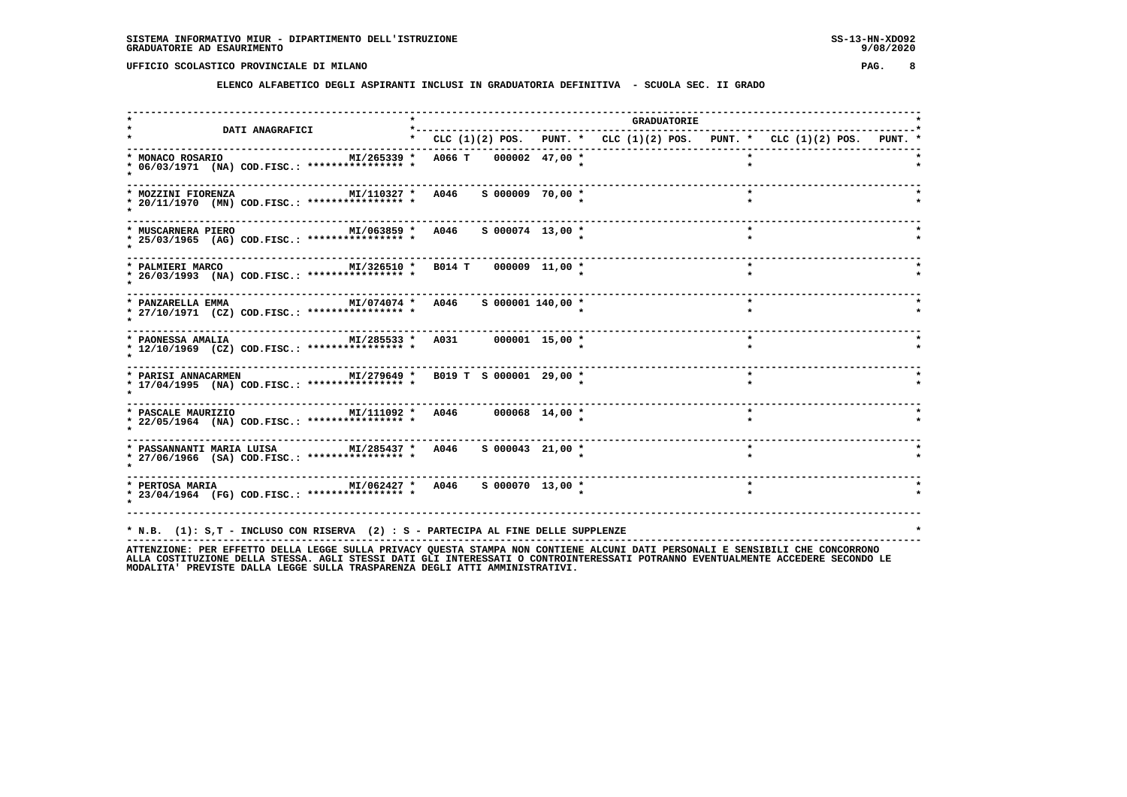**ELENCO ALFABETICO DEGLI ASPIRANTI INCLUSI IN GRADUATORIA DEFINITIVA - SCUOLA SEC. II GRADO**

| <b>DATI ANAGRAFICI</b>                                                                                                             |                                                                           |                   |  | <b>GRADUATORIE</b> |         |  |  |
|------------------------------------------------------------------------------------------------------------------------------------|---------------------------------------------------------------------------|-------------------|--|--------------------|---------|--|--|
|                                                                                                                                    | * CLC (1)(2) POS. PUNT. * CLC (1)(2) POS. PUNT. * CLC (1)(2) POS. PUNT. * |                   |  |                    |         |  |  |
| * MONACO ROSARIO<br>MI/265339 * A066 T 000002 47,00 *<br>* 06/03/1971 (NA) COD.FISC.: **************** *                           |                                                                           |                   |  |                    |         |  |  |
| MI/110327 * A046 S 000009 70,00 *<br>* MOZZINI FIORENZA<br>* 20/11/1970 (MN) COD.FISC.: **************** *                         |                                                                           |                   |  |                    | $\star$ |  |  |
| MI/063859 * A046 S 000074 13,00 *<br>* MUSCARNERA PIERO<br>* 25/03/1965 (AG) COD.FISC.: **************** *                         |                                                                           |                   |  |                    | $\star$ |  |  |
| * PALMIERI MARCO<br>* 26/03/1993 (NA) COD.FISC.: *************** *                                                                 | MI/326510 * B014 T 000009 11,00 *                                         |                   |  |                    | $\star$ |  |  |
| --------------------------<br>MI/074074 * A046<br>* PANZARELLA EMMA<br>* 27/10/1971 (CZ) COD.FISC.: **************** *             |                                                                           | S 000001 140,00 * |  |                    | $\star$ |  |  |
| $MI/285533 * A031$ 000001 15,00 *<br>* PAONESSA AMALIA<br>* 12/10/1969 (CZ) COD.FISC.: **************** *                          |                                                                           |                   |  |                    | $\star$ |  |  |
| * PARISI ANNACARMEN MI/279649 * B019 T S 000001 29,00 *<br>* 17/04/1995 (NA) COD.FISC.: **************** *                         |                                                                           |                   |  |                    | $\star$ |  |  |
| * 22/05/1964 (NA) COD.FISC.: **************** *                                                                                    |                                                                           |                   |  |                    | $\star$ |  |  |
| * PASSANNANTI MARIA LUISA             MI/285437 *   A046     S 000043   21,00 *<br>* 27/06/1966 (SA) COD.FISC.: **************** * |                                                                           |                   |  |                    | $\star$ |  |  |
| * PERTOSA MARIA $M1/062427$ * A046 S 000070 13,00 *<br>* 23/04/1964 (FG) COD.FISC.: **************** *                             |                                                                           |                   |  |                    | $\star$ |  |  |
| * N.B. (1): S,T - INCLUSO CON RISERVA (2) : S - PARTECIPA AL FINE DELLE SUPPLENZE                                                  |                                                                           |                   |  |                    |         |  |  |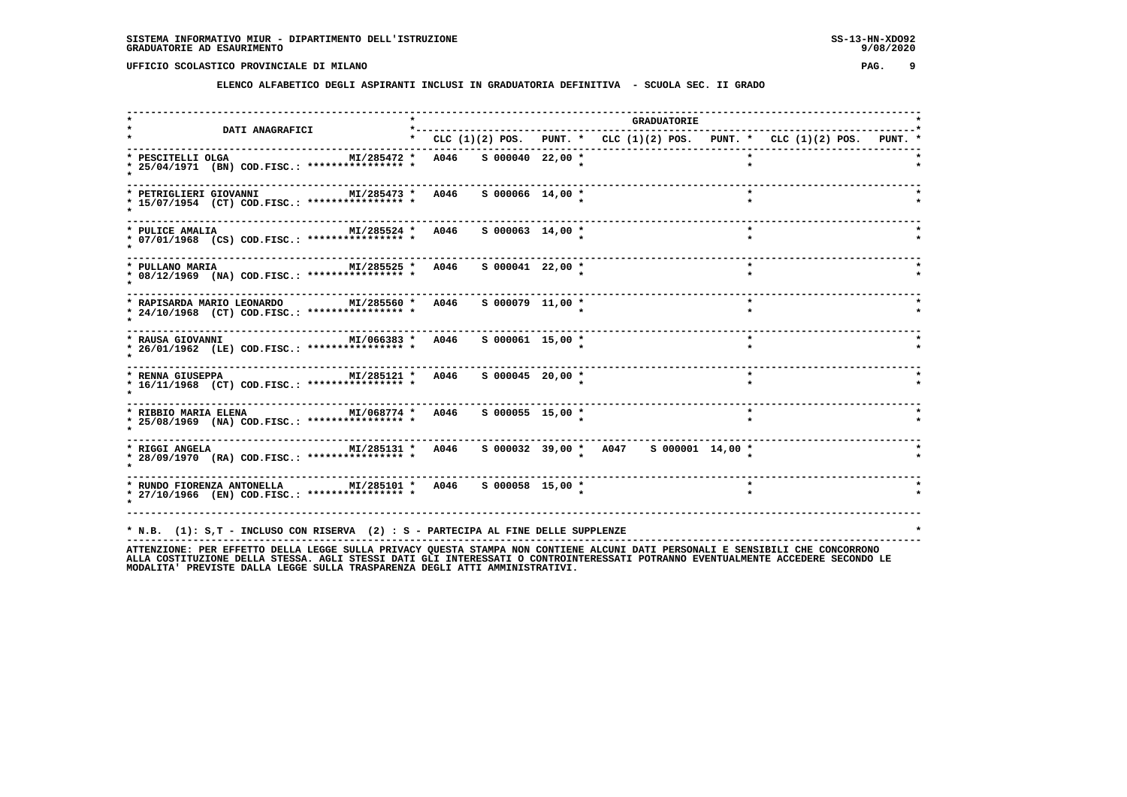**ELENCO ALFABETICO DEGLI ASPIRANTI INCLUSI IN GRADUATORIA DEFINITIVA - SCUOLA SEC. II GRADO**

| <b>DATI ANAGRAFICI</b>                                                                                                                     | *------------------------------- |  | <b>GRADUATORIE</b>                                                                                                            |
|--------------------------------------------------------------------------------------------------------------------------------------------|----------------------------------|--|-------------------------------------------------------------------------------------------------------------------------------|
|                                                                                                                                            |                                  |  | * CLC $(1)(2)$ POS. PUNT. * CLC $(1)(2)$ POS. PUNT. * CLC $(1)(2)$ POS. PUNT. *                                               |
| MI/285472 *<br>* PESCITELLI OLGA<br>* 25/04/1971 (BN) COD.FISC.: **************** *                                                        | A046 S 000040 22,00 *            |  |                                                                                                                               |
| MI/285473 *<br>* PETRIGLIERI GIOVANNI<br>* 15/07/1954 (CT) COD.FISC.: **************** *                                                   | A046<br>$S$ 000066 14,00 $*$     |  |                                                                                                                               |
| MI/285524 * A046<br>* PULICE AMALIA<br>* 07/01/1968 (CS) COD.FISC.: **************** *                                                     | $S$ 000063 14,00 $*$             |  |                                                                                                                               |
| MI/285525 * A046<br>* PULLANO MARIA<br>* 08/12/1969 (NA) COD.FISC.: **************** *                                                     | $S$ 000041 22,00 $*$             |  | $\star$                                                                                                                       |
| * RAPISARDA MARIO LEONARDO MI/285560 * A046 S 000079 11,00 *<br>* 24/10/1968 (CT) COD.FISC.: **************** *                            |                                  |  | $\star$                                                                                                                       |
| MI/066383 * A046<br>* RAUSA GIOVANNI<br>* 26/01/1962 (LE) COD.FISC.: **************** *                                                    | $S$ 000061 15,00 $*$             |  | $\star$                                                                                                                       |
| MI/285121 * A046<br>* RENNA GIUSEPPA<br>* 16/11/1968 (CT) COD.FISC.: *************** *                                                     | $S$ 000045 20,00 *               |  | $\star$                                                                                                                       |
| ---------------------------------<br>MI/068774 * A046<br>* RIBBIO MARIA ELENA<br>* 25/08/1969 (NA) COD.FISC.: *************** *            | $S$ 000055 15,00 $*$             |  | $\star$                                                                                                                       |
| MI/285131 * A046<br>* RIGGI ANGELA<br>* 28/09/1970 (RA) COD.FISC.: **************** *                                                      |                                  |  | S 000032 39,00 * A047 S 000001 14,00 *                                                                                        |
| --------------------<br>MI/285101 * A046 S 000058 15,00 *<br>* RUNDO FIORENZA ANTONELLA<br>* 27/10/1966 (EN) COD.FISC.: **************** * |                                  |  |                                                                                                                               |
| * N.B. (1): S,T - INCLUSO CON RISERVA (2) : S - PARTECIPA AL FINE DELLE SUPPLENZE                                                          |                                  |  | ATTENZIONE: PER EFFETTO DELLA LEGGE SULLA PRIVACY QUESTA STAMPA NON CONTIENE ALCUNI DATI PERSONALI E SENSIBILI CHE CONCORRONO |

ATTENZIONE: PER EFFETTO DELLA LEGGE SULLA PRIVACY QUESTA STAMPA NON CONTIENE ALCUNI DATI PERSONALI E SENSIBILI CHE CONCORRONO<br>ALLA COSTITUZIONE DELLA STESSA, AGLI STESSI DATI GLI INTERESSATI O CONTROINTERESSATI POTRANNO EV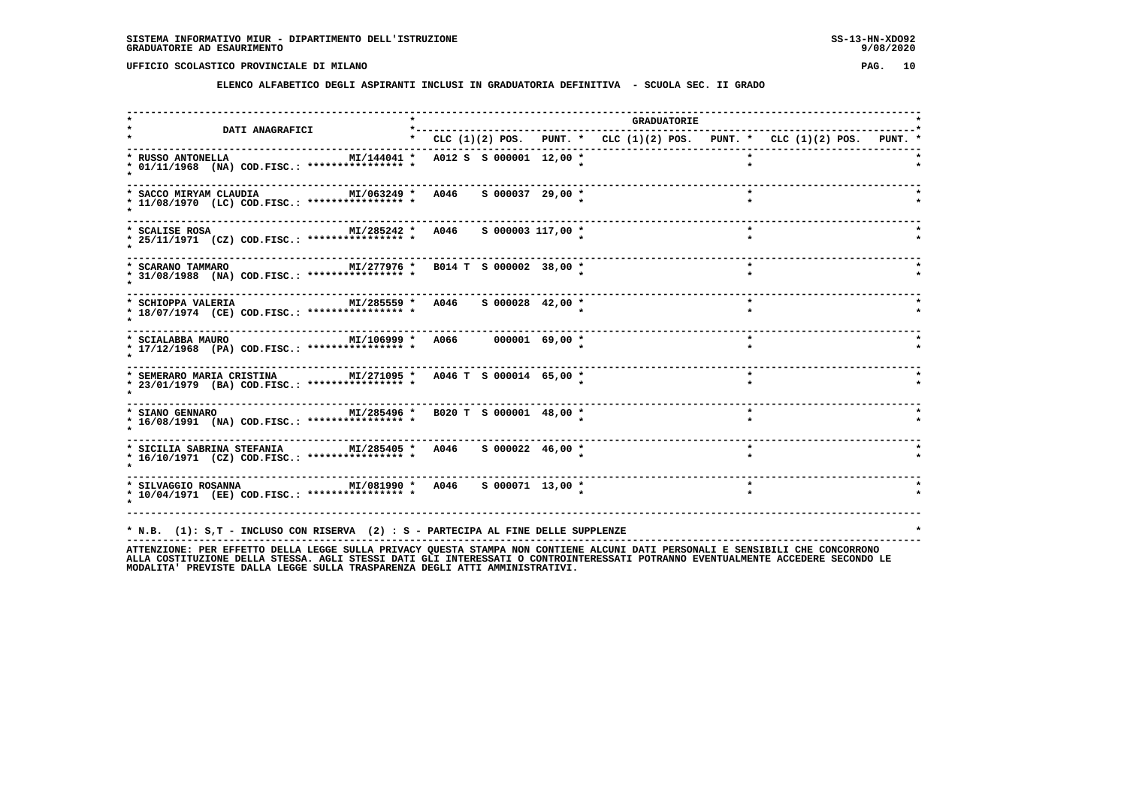**ELENCO ALFABETICO DEGLI ASPIRANTI INCLUSI IN GRADUATORIA DEFINITIVA - SCUOLA SEC. II GRADO**

| <b>DATI ANAGRAFICI</b>                                                                                                              |  |  |  |                                                                           | <b>GRADUATORIE</b> |         |                |  |  |
|-------------------------------------------------------------------------------------------------------------------------------------|--|--|--|---------------------------------------------------------------------------|--------------------|---------|----------------|--|--|
|                                                                                                                                     |  |  |  | * CLC (1)(2) POS. PUNT. * CLC (1)(2) POS. PUNT. * CLC (1)(2) POS. PUNT. * |                    |         |                |  |  |
| MI/144041 * A012 S S 000001 12,00 *<br>* RUSSO ANTONELLA<br>* 01/11/1968 (NA) COD.FISC.: **************** *                         |  |  |  |                                                                           |                    |         |                |  |  |
| MI/063249 * A046 S 000037 29,00 *<br>* SACCO MIRYAM CLAUDIA<br>* 11/08/1970 (LC) COD.FISC.: **************** *                      |  |  |  |                                                                           |                    | $\star$ |                |  |  |
| MI/285242 * A046 S 000003 117,00 *<br>* SCALISE ROSA<br>* 25/11/1971 (CZ) COD.FISC.: **************** *                             |  |  |  |                                                                           |                    | $\star$ |                |  |  |
| MI/277976 * B014 T S 000002 38,00 *<br>* SCARANO TAMMARO<br>* 31/08/1988 (NA) COD.FISC.: **************** *                         |  |  |  |                                                                           |                    | $\star$ |                |  |  |
| MI/285559 * A046 S 000028 42,00 *<br>* SCHIOPPA VALERIA<br>* 18/07/1974 (CE) COD.FISC.: **************** *                          |  |  |  |                                                                           |                    | $\star$ |                |  |  |
| MI/106999 * A066 000001 69,00 *<br>* SCIALABBA MAURO<br>* 17/12/1968 (PA) COD.FISC.: **************** *                             |  |  |  |                                                                           |                    | $\star$ |                |  |  |
| * SEMERARO MARIA CRISTINA $M1/271095$ * A046 T S 000014 65,00 *<br>* 23/01/1979 (BA) COD.FISC.: **************** *                  |  |  |  |                                                                           |                    | $\star$ |                |  |  |
| * SIANO GENNARO <b>MI/285496 * B020 T S 000001 48,00 *</b><br>* 16/08/1991 (NA) COD.FISC.: **************** *                       |  |  |  |                                                                           |                    |         |                |  |  |
| ----------------<br>* SICILIA SABRINA STEFANIA MI/285405 * A046 S 000022 46,00 *<br>* 16/10/1971 (CZ) COD.FISC.: **************** * |  |  |  |                                                                           |                    | $\star$ |                |  |  |
| * 10/04/1971 (EE) COD.FISC.: **************** *                                                                                     |  |  |  |                                                                           |                    |         |                |  |  |
| * N.B. (1): S,T - INCLUSO CON RISERVA (2) : S - PARTECIPA AL FINE DELLE SUPPLENZE                                                   |  |  |  |                                                                           |                    |         | $\overline{a}$ |  |  |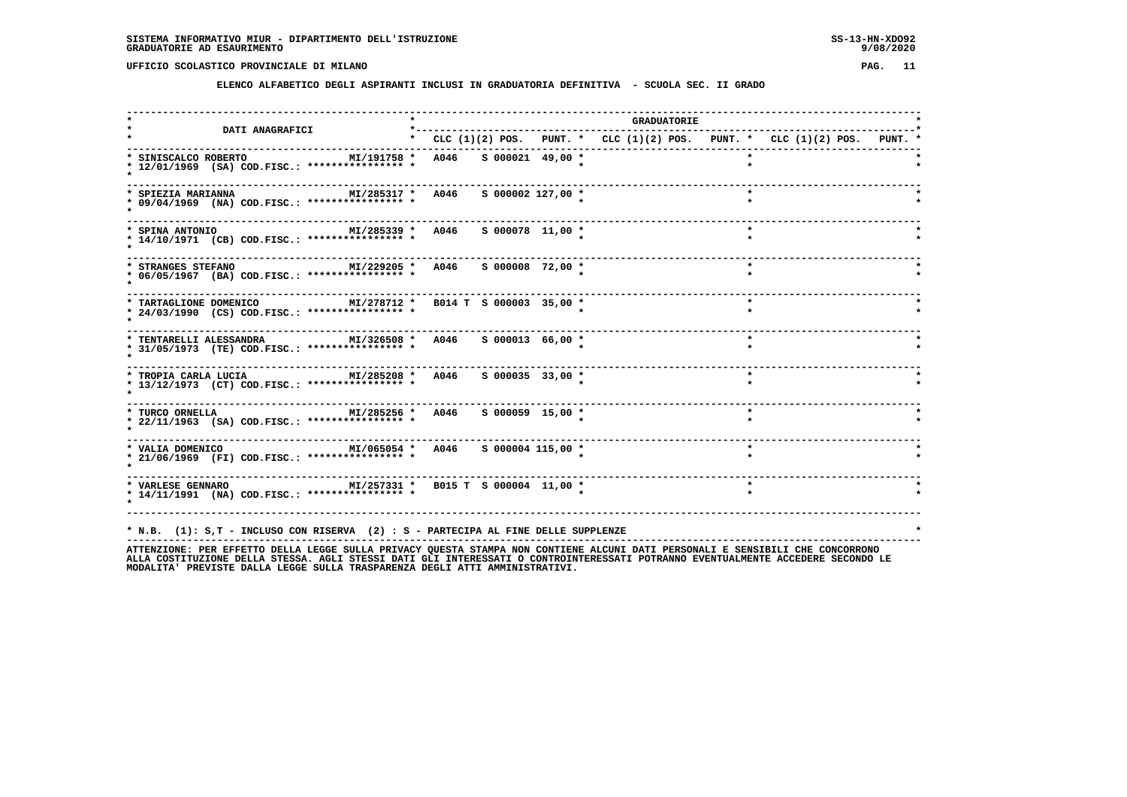**ELENCO ALFABETICO DEGLI ASPIRANTI INCLUSI IN GRADUATORIA DEFINITIVA - SCUOLA SEC. II GRADO**

| <b>DATI ANAGRAFICI</b>                                                                                        | *---------- |  |  |                                                                               | <b>GRADUATORIE</b> |         |  |  |  |
|---------------------------------------------------------------------------------------------------------------|-------------|--|--|-------------------------------------------------------------------------------|--------------------|---------|--|--|--|
|                                                                                                               |             |  |  | * CLC $(1)(2)$ POS. PUNT. * CLC $(1)(2)$ POS. PUNT. * CLC $(1)(2)$ POS. PUNT. |                    |         |  |  |  |
| MI/191758 * A046 S 000021 49,00 *<br>* SINISCALCO ROBERTO<br>* 12/01/1969 (SA) COD.FISC.: **************** *  |             |  |  |                                                                               |                    |         |  |  |  |
| MI/285317 * A046 S 000002 127,00 *<br>* SPIEZIA MARIANNA<br>* 09/04/1969 (NA) COD.FISC.: **************** *   |             |  |  |                                                                               |                    |         |  |  |  |
| MI/285339 * A046 S 000078 11,00 *<br>* SPINA ANTONIO<br>* 14/10/1971 (CB) COD.FISC.: **************** *       |             |  |  |                                                                               |                    | $\star$ |  |  |  |
| MI/229205 * A046 S 000008 72,00 *<br>* STRANGES STEFANO<br>* 06/05/1967 (BA) COD.FISC.: **************** *    |             |  |  |                                                                               |                    | $\star$ |  |  |  |
| * TARTAGLIONE DOMENICO MI/278712 * B014 T S 000003 35,00 *<br>* 24/03/1990 (CS) COD.FISC.: **************** * |             |  |  |                                                                               |                    | $\star$ |  |  |  |
| * TENTARELLI ALESSANDRA MI/326508 * A046 S 000013 66,00 *<br>* 31/05/1973 (TE) COD.FISC.: **************** *  |             |  |  |                                                                               |                    | $\star$ |  |  |  |
| MI/285208 * A046 S 000035 33,00 *<br>* TROPIA CARLA LUCIA<br>* 13/12/1973 (CT) COD.FISC.: **************** *  |             |  |  |                                                                               |                    | $\star$ |  |  |  |
| * 22/11/1963 (SA) COD.FISC.: **************** *                                                               |             |  |  |                                                                               |                    | $\star$ |  |  |  |
| * 21/06/1969 (FI) COD.FISC.: **************** *                                                               |             |  |  |                                                                               |                    | $\star$ |  |  |  |
| * 14/11/1991 (NA) COD.FISC.: **************** *                                                               |             |  |  |                                                                               |                    |         |  |  |  |
|                                                                                                               |             |  |  |                                                                               |                    |         |  |  |  |
| * N.B. (1): S,T - INCLUSO CON RISERVA (2) : S - PARTECIPA AL FINE DELLE SUPPLENZE                             |             |  |  |                                                                               |                    |         |  |  |  |